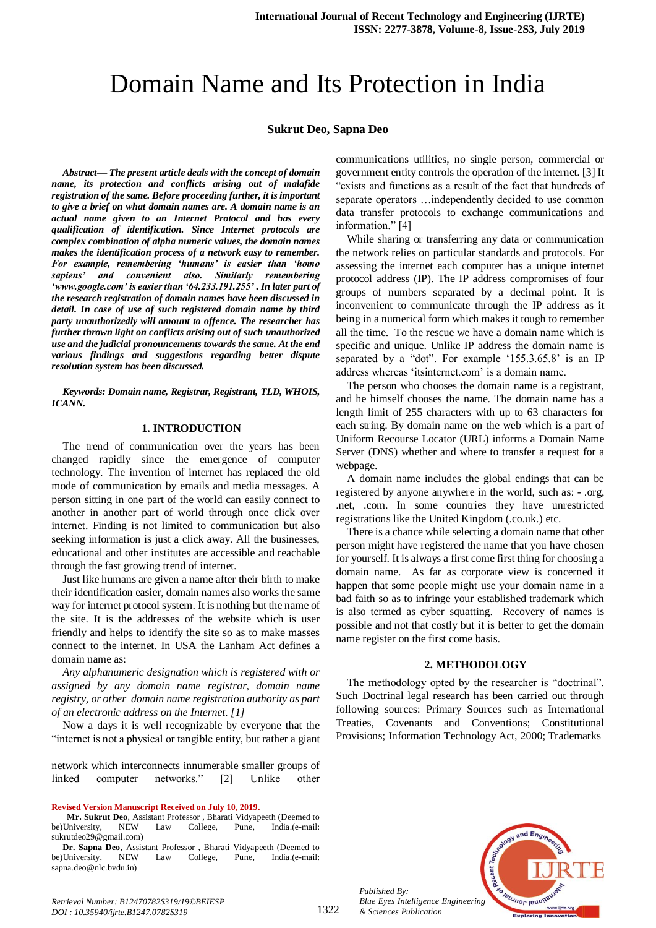# Domain Name and Its Protection in India

## **Sukrut Deo, Sapna Deo**

*Abstract***—** *The present article deals with the concept of domain name, its protection and conflicts arising out of malafide registration of the same. Before proceeding further, it is important to give a brief on what domain names are. A domain name is an actual name given to an Internet Protocol and has every qualification of identification. Since Internet protocols are complex combination of alpha numeric values, the domain names makes the identification process of a network easy to remember. For example, remembering 'humans' is easier than 'homo sapiens' and convenient also. Similarly remembering 'www.google.com' is easier than '64.233.191.255' . In later part of the research registration of domain names have been discussed in detail. In case of use of such registered domain name by third party unauthorizedly will amount to offence. The researcher has further thrown light on conflicts arising out of such unauthorized use and the judicial pronouncements towards the same. At the end various findings and suggestions regarding better dispute resolution system has been discussed.*

*Keywords: Domain name, Registrar, Registrant, TLD, WHOIS, ICANN.*

# **1. INTRODUCTION**

The trend of communication over the years has been changed rapidly since the emergence of computer technology. The invention of internet has replaced the old mode of communication by emails and media messages. A person sitting in one part of the world can easily connect to another in another part of world through once click over internet. Finding is not limited to communication but also seeking information is just a click away. All the businesses, educational and other institutes are accessible and reachable through the fast growing trend of internet.

Just like humans are given a name after their birth to make their identification easier, domain names also works the same way for internet protocol system. It is nothing but the name of the site. It is the addresses of the website which is user friendly and helps to identify the site so as to make masses connect to the internet. In USA the Lanham Act defines a domain name as:

*Any alphanumeric designation which is registered with or assigned by any domain name registrar, domain name registry, or other domain name registration authority as part of an electronic address on the Internet. [1]*

Now a days it is well recognizable by everyone that the "internet is not a physical or tangible entity, but rather a giant

network which interconnects innumerable smaller groups of linked computer networks." [2] Unlike other

**Revised Version Manuscript Received on July 10, 2019.**

**Dr. Sapna Deo**, Assistant Professor , Bharati Vidyapeeth (Deemed to be)University, NEW Law College, Pune, India.(e-mail: sapna.deo@nlc.bvdu.in)

communications utilities, no single person, commercial or government entity controls the operation of the internet. [3] It "exists and functions as a result of the fact that hundreds of separate operators …independently decided to use common data transfer protocols to exchange communications and information." [4]

While sharing or transferring any data or communication the network relies on particular standards and protocols. For assessing the internet each computer has a unique internet protocol address (IP). The IP address compromises of four groups of numbers separated by a decimal point. It is inconvenient to communicate through the IP address as it being in a numerical form which makes it tough to remember all the time. To the rescue we have a domain name which is specific and unique. Unlike IP address the domain name is separated by a "dot". For example '155.3.65.8' is an IP address whereas 'itsinternet.com' is a domain name.

The person who chooses the domain name is a registrant, and he himself chooses the name. The domain name has a length limit of 255 characters with up to 63 characters for each string. By domain name on the web which is a part of Uniform Recourse Locator (URL) informs a Domain Name Server (DNS) whether and where to transfer a request for a webpage.

A domain name includes the global endings that can be registered by anyone anywhere in the world, such as: - .org, .net, .com. In some countries they have unrestricted registrations like the United Kingdom (.co.uk.) etc.

There is a chance while selecting a domain name that other person might have registered the name that you have chosen for yourself. It is always a first come first thing for choosing a domain name. As far as corporate view is concerned it happen that some people might use your domain name in a bad faith so as to infringe your established trademark which is also termed as cyber squatting. Recovery of names is possible and not that costly but it is better to get the domain name register on the first come basis.

#### **2. METHODOLOGY**

The methodology opted by the researcher is "doctrinal". Such Doctrinal legal research has been carried out through following sources: Primary Sources such as International Treaties, Covenants and Conventions; Constitutional Provisions; Information Technology Act, 2000; Trademarks



*Published By: Blue Eyes Intelligence Engineering & Sciences Publication* 

1322

**Mr. Sukrut Deo**, Assistant Professor, Bharati Vidyapeeth (Deemed to University, NEW Law College, Pune, India.(e-mail: be)University, NEW Law College, Pune, India.(e-mail: sukrutdeo29@gmail.com)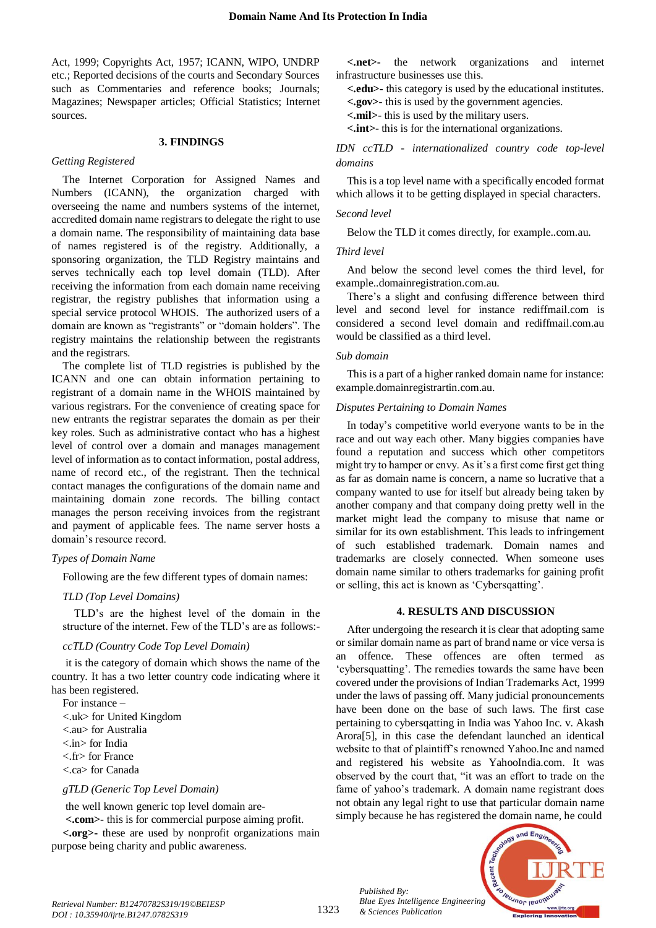Act, 1999; Copyrights Act, 1957; ICANN, WIPO, UNDRP etc.; Reported decisions of the courts and Secondary Sources such as Commentaries and reference books; Journals; Magazines; Newspaper articles; Official Statistics; Internet sources.

### **3. FINDINGS**

## *Getting Registered*

The Internet Corporation for Assigned Names and Numbers (ICANN), the organization charged with overseeing the name and numbers systems of the internet, accredited domain name registrars to delegate the right to use a domain name. The responsibility of maintaining data base of names registered is of the registry. Additionally, a sponsoring organization, the TLD Registry maintains and serves technically each top level domain (TLD). After receiving the information from each domain name receiving registrar, the registry publishes that information using a special service protocol WHOIS. The authorized users of a domain are known as "registrants" or "domain holders". The registry maintains the relationship between the registrants and the registrars.

The complete list of TLD registries is published by the ICANN and one can obtain information pertaining to registrant of a domain name in the WHOIS maintained by various registrars. For the convenience of creating space for new entrants the registrar separates the domain as per their key roles. Such as administrative contact who has a highest level of control over a domain and manages management level of information as to contact information, postal address, name of record etc., of the registrant. Then the technical contact manages the configurations of the domain name and maintaining domain zone records. The billing contact manages the person receiving invoices from the registrant and payment of applicable fees. The name server hosts a domain's resource record.

## *Types of Domain Name*

Following are the few different types of domain names:

## *TLD (Top Level Domains)*

TLD's are the highest level of the domain in the structure of the internet. Few of the TLD's are as follows:-

## *ccTLD (Country Code Top Level Domain)*

it is the category of domain which shows the name of the country. It has a two letter country code indicating where it has been registered.

For instance – <.uk> for United Kingdom <.au> for Australia <.in> for India <.fr> for France <.ca> for Canada

# *gTLD (Generic Top Level Domain)*

the well known generic top level domain are-

**<.com>-** this is for commercial purpose aiming profit.

**<.org>-** these are used by nonprofit organizations main purpose being charity and public awareness.

**<.net>-** the network organizations and internet infrastructure businesses use this.

**<.edu>-** this category is used by the educational institutes.

**<.gov>**- this is used by the government agencies.

**<.mil>**- this is used by the military users.

**<.int>-** this is for the international organizations.

*IDN ccTLD - internationalized country code top-level domains*

This is a top level name with a specifically encoded format which allows it to be getting displayed in special characters.

#### *Second level*

Below the TLD it comes directly, for example..com.au.

## *Third level*

And below the second level comes the third level, for example..domainregistration.com.au.

There's a slight and confusing difference between third level and second level for instance rediffmail.com is considered a second level domain and rediffmail.com.au would be classified as a third level.

## *Sub domain*

This is a part of a higher ranked domain name for instance: example.domainregistrartin.com.au.

#### *Disputes Pertaining to Domain Names*

In today's competitive world everyone wants to be in the race and out way each other. Many biggies companies have found a reputation and success which other competitors might try to hamper or envy. As it's a first come first get thing as far as domain name is concern, a name so lucrative that a company wanted to use for itself but already being taken by another company and that company doing pretty well in the market might lead the company to misuse that name or similar for its own establishment. This leads to infringement of such established trademark. Domain names and trademarks are closely connected. When someone uses domain name similar to others trademarks for gaining profit or selling, this act is known as 'Cybersqatting'.

#### **4. RESULTS AND DISCUSSION**

After undergoing the research it is clear that adopting same or similar domain name as part of brand name or vice versa is an offence. These offences are often termed as 'cybersquatting'. The remedies towards the same have been covered under the provisions of Indian Trademarks Act, 1999 under the laws of passing off. Many judicial pronouncements have been done on the base of such laws. The first case pertaining to cybersqatting in India was Yahoo Inc. v. Akash Arora[5], in this case the defendant launched an identical website to that of plaintiff's renowned Yahoo.Inc and named and registered his website as YahooIndia.com. It was observed by the court that, "it was an effort to trade on the fame of yahoo's trademark. A domain name registrant does not obtain any legal right to use that particular domain name simply because he has registered the domain name, he could



*Published By:*

*& Sciences Publication*